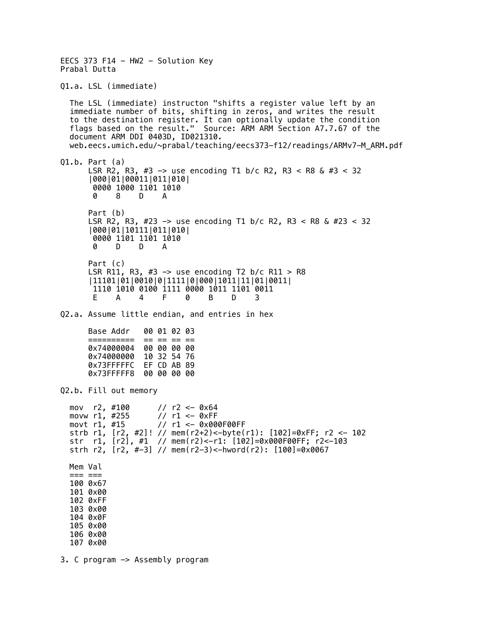EECS 373 F14 - HW2 - Solution Key Prabal Dutta Q1.a. LSL (immediate) The LSL (immediate) instructon "shifts a register value left by an immediate number of bits, shifting in zeros, and writes the result to the destination register. It can optionally update the condition flags based on the result." Source: ARM ARM Section A7.7.67 of the document ARM DDI 0403D, ID021310. web.eecs.umich.edu/~prabal/teaching/eecs373-f12/readings/ARMv7-M\_ARM.pdf Q1.b. Part (a) LSR R2, R3, #3 -> use encoding T1 b/c R2, R3 < R8 & #3 < 32 |000|01|00011|011|010| 0000 1000 1101 1010 0 8 D A Part (b) LSR R2, R3, #23 -> use encoding T1 b/c R2, R3 < R8 & #23 < 32 |000|01|10111|011|010| 0000 1101 1101 1010 0 D D A Part (c) LSR R11, R3, #3  $\rightarrow$  use encoding T2 b/c R11 > R8 |11101|01|0010|0|1111|0|000|1011|11|01|0011| 1110 1010 0100 1111 0000 1011 1101 0011<br>E A 4 F 0 B D 3 E A 4 F 0 B D 3 Q2.a. Assume little endian, and entries in hex Base Addr 00 01 02 03 ========== == == == == 0x74000004 00 00 00 00 0x74000000 10 32 54 76 0x73FFFFFC EF CD AB 89 0x73FFFFF8 00 00 00 00 Q2.b. Fill out memory mov r2, #100 // r2 <- 0x64 movw  $r1$ , #255 movt r1, #15 // r1 <- 0x000F00FF strb r1, [r2, #2]! // mem(r2+2)<-byte(r1): [102]=0xFF; r2 <- 102 str r1, [r2], #1 // mem(r2)<-r1: [102]=0x000F00FF; r2<-103 strh r2, [r2, #-3] // mem(r2-3)<-hword(r2): [100]=0x0067 Mem Val === === 100 0x67 101 0x00 102 0xFF 103 0x00 104 0x0F 105 0x00 106 0x00 107 0x00 3. C program -> Assembly program